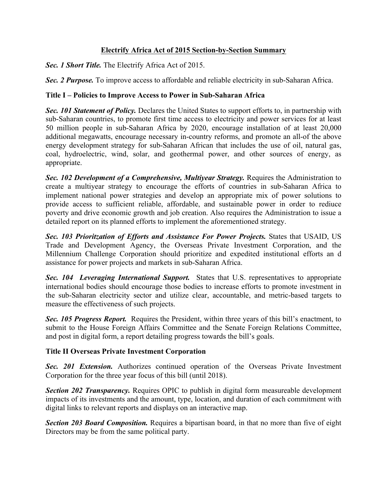## **Electrify Africa Act of 2015 Section-by-Section Summary**

*Sec. 1 Short Title.* The Electrify Africa Act of 2015.

*Sec. 2 Purpose.* To improve access to affordable and reliable electricity in sub-Saharan Africa.

## **Title I – Policies to Improve Access to Power in Sub-Saharan Africa**

*Sec. 101 Statement of Policy.* Declares the United States to support efforts to, in partnership with sub-Saharan countries, to promote first time access to electricity and power services for at least 50 million people in sub-Saharan Africa by 2020, encourage installation of at least 20,000 additional megawatts, encourage necessary in-country reforms, and promote an all-of the above energy development strategy for sub-Saharan African that includes the use of oil, natural gas, coal, hydroelectric, wind, solar, and geothermal power, and other sources of energy, as appropriate.

*Sec. 102 Development of a Comprehensive, Multiyear Strategy.* Requires the Administration to create a multiyear strategy to encourage the efforts of countries in sub-Saharan Africa to implement national power strategies and develop an appropriate mix of power solutions to provide access to sufficient reliable, affordable, and sustainable power in order to rediuce poverty and drive economic growth and job creation. Also requires the Administration to issue a detailed report on its planned efforts to implement the aforementioned strategy.

*Sec. 103 Prioritzation of Efforts and Assistance For Power Projects.* States that USAID, US Trade and Development Agency, the Overseas Private Investment Corporation, and the Millennium Challenge Corporation should prioritize and expedited institutional efforts an d assistance for power projects and markets in sub-Saharan Africa.

*Sec. 104 Leveraging International Support.* States that U.S. representatives to appropriate international bodies should encourage those bodies to increase efforts to promote investment in the sub-Saharan electricity sector and utilize clear, accountable, and metric-based targets to measure the effectiveness of such projects.

*Sec. 105 Progress Report.*Requires the President, within three years of this bill's enactment, to submit to the House Foreign Affairs Committee and the Senate Foreign Relations Committee, and post in digital form, a report detailing progress towards the bill's goals.

## **Title II Overseas Private Investment Corporation**

*Sec. 201 Extension.* Authorizes continued operation of the Overseas Private Investment Corporation for the three year focus of this bill (until 2018).

*Section 202 Transparency.* Requires OPIC to publish in digital form measureable development impacts of its investments and the amount, type, location, and duration of each commitment with digital links to relevant reports and displays on an interactive map.

*Section 203 Board Composition.* Requires a bipartisan board, in that no more than five of eight Directors may be from the same political party.